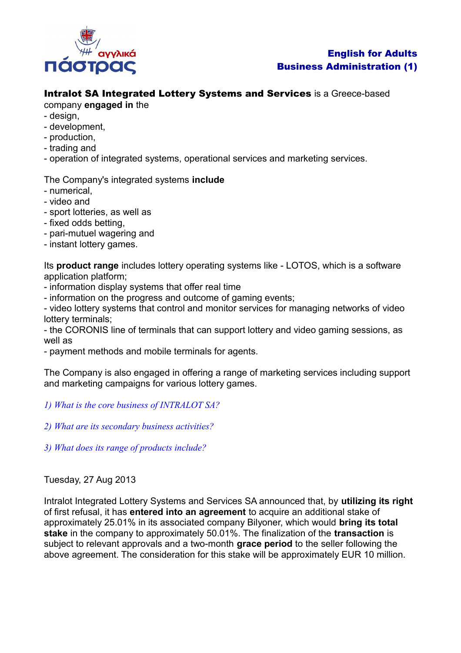

# English for Adults Business Administration (1)

# Intralot SA Integrated Lottery Systems and Services is a Greece-based

## company **engaged in** the

- design,
- development,
- production,
- trading and
- operation of integrated systems, operational services and marketing services.

# The Company's integrated systems **include**

- numerical,
- video and
- sport lotteries, as well as
- fixed odds betting,
- pari-mutuel wagering and
- instant lottery games.

Its **product range** includes lottery operating systems like - LOTOS, which is a software application platform;

- information display systems that offer real time
- information on the progress and outcome of gaming events;

- video lottery systems that control and monitor services for managing networks of video lottery terminals;

- the CORONIS line of terminals that can support lottery and video gaming sessions, as well as

- payment methods and mobile terminals for agents.

The Company is also engaged in offering a range of marketing services including support and marketing campaigns for various lottery games.

## *1) What is the core business of INTRALOT SA?*

*2) What are its secondary business activities?*

*3) What does its range of products include?*

## Tuesday, 27 Aug 2013

Intralot Integrated Lottery Systems and Services SA announced that, by **utilizing its right** of first refusal, it has **entered into an agreement** to acquire an additional stake of approximately 25.01% in its associated company Bilyoner, which would **bring its total stake** in the company to approximately 50.01%. The finalization of the **transaction** is subject to relevant approvals and a two-month **grace period** to the seller following the above agreement. The consideration for this stake will be approximately EUR 10 million.